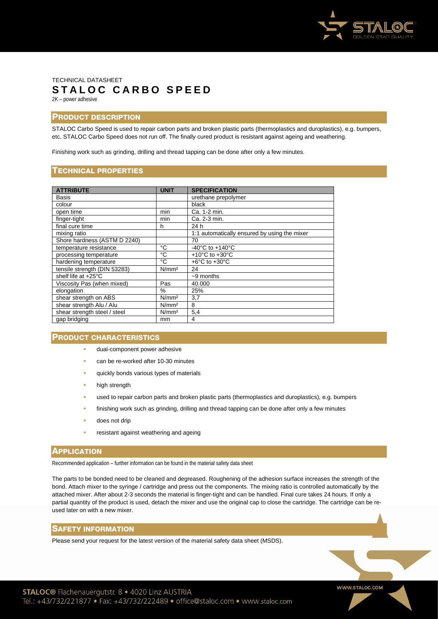

# TECHNICAL DATASHEET **STALOC CARBO SPEED** 2K – power adhesive

## PRODUCT DESCRIPTION

STALOC Carbo Speed is used to repair carbon parts and broken plastic parts (thermoplastics and duroplastics), e.g. bumpers, etc. STALOC Carbo Speed does not run off. The finally cured product is resistant against ageing and weathering.

Finishing work such as grinding, drilling and thread tapping can be done after only a few minutes.

### TECHNICAL PROPERTIES

| <b>ATTRIBUTE</b>             | <b>UNIT</b>       | <b>SPECIFICATION</b>                         |
|------------------------------|-------------------|----------------------------------------------|
| Basis                        |                   | urethane prepolymer                          |
| colour                       |                   | black                                        |
| open time                    | min               | Ca. 1-2 min.                                 |
| finger-tight                 | min               | Ca. 2-3 min.                                 |
| final cure time              | h                 | 24 h                                         |
| mixing ratio                 |                   | 1:1 automatically ensured by using the mixer |
| Shore hardness (ASTM D 2240) |                   | 70                                           |
| temperature resistance       | °C                | -40 $^{\circ}$ C to +140 $^{\circ}$ C        |
| processing temperature       | °C                | $+10^{\circ}$ C to $+30^{\circ}$ C           |
| hardening temperature        | °C                | $+6^{\circ}$ C to $+30^{\circ}$ C            |
| tensile strength (DIN 53283) | N/mm <sup>2</sup> | 24                                           |
| shelf life at +25°C          |                   | $~-9$ months                                 |
| Viscosity Pas (when mixed)   | Pas               | 40.000                                       |
| elongation                   | %                 | 25%                                          |
| shear strength on ABS        | N/mm <sup>2</sup> | 3,7                                          |
| shear strength Alu / Alu     | N/mm <sup>2</sup> | 8                                            |
| shear strength steel / steel | N/mm <sup>2</sup> | 5,4                                          |
| gap bridging                 | mm                | 4                                            |

### PRODUCT CHARACTERISTICS

- dual-component power adhesive
- can be re-worked after 10-30 minutes
- quickly bonds various types of materials
- high strength
- used to repair carbon parts and broken plastic parts (thermoplastics and duroplastics), e.g. bumpers
- finishing work such as grinding, drilling and thread tapping can be done after only a few minutes
- does not drip
- resistant against weathering and ageing

#### **APPLICATION**

Recommended application – further information can be found in the material safety data sheet

The parts to be bonded need to be cleaned and degreased. Roughening of the adhesion surface increases the strength of the bond. Attach mixer to the syringe / cartridge and press out the components. The mixing ratio is controlled automatically by the attached mixer. After about 2-3 seconds the material is finger-tight and can be handled. Final cure takes 24 hours. If only a partial quantity of the product is used, detach the mixer and use the original cap to close the cartridge. The cartridge can be reused later on with a new mixer.

### SAFETY INFORMATION

Please send your request for the latest version of the material safety data sheet (MSDS).

WWW.STALOC.COM